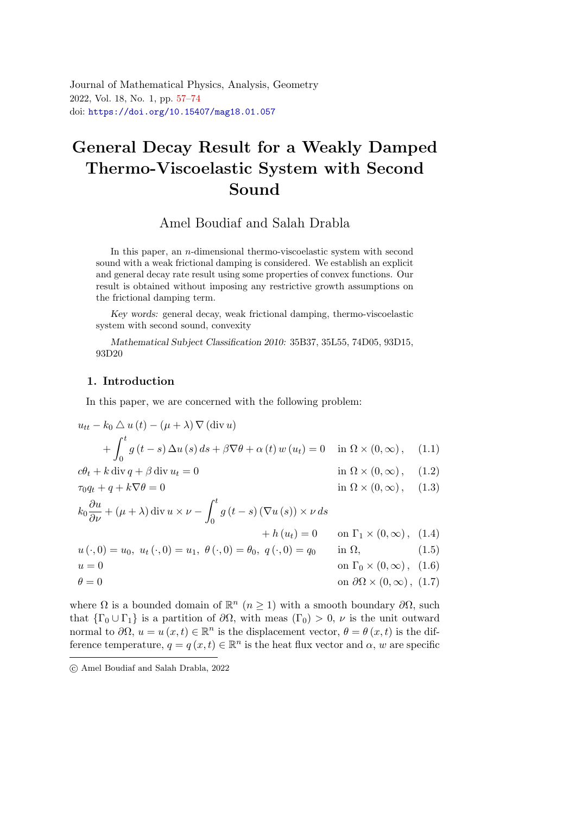<span id="page-0-0"></span>Journal of Mathematical Physics, Analysis, Geometry 2022, Vol. 18, No. 1, pp. [57](#page-0-0)[–74](#page-17-0) doi: <https://doi.org/10.15407/mag18.01.057>

# General Decay Result for a Weakly Damped Thermo-Viscoelastic System with Second Soun[d](#page-0-1)

Amel Boudiaf and Salah Drabla

In this paper, an *n*-dimensional thermo-viscoelastic system with second sound with a weak frictional damping is considered. We establish an explicit and general decay rate result using some properties of convex functions. Our result is obtained without imposing any restrictive growth assumptions on the frictional damping term.

Key words: general decay, weak frictional damping, thermo-viscoelastic system with second sound, convexity

Mathematical Subject Classification 2010: 35B37, 35L55, 74D05, 93D15, 93D20

## 1. Introduction

<span id="page-0-4"></span><span id="page-0-2"></span>In this paper, we are concerned with the following problem:

$$
u_{tt} - k_0 \triangle u(t) - (\mu + \lambda) \nabla (\text{div } u)
$$
  
+ 
$$
\int_0^t g(t - s) \Delta u(s) ds + \beta \nabla \theta + \alpha(t) w(u_t) = 0 \quad \text{in } \Omega \times (0, \infty), \quad (1.1)
$$
  

$$
c\theta_t + k \operatorname{div} q + \beta \operatorname{div} u_t = 0 \qquad \text{in } \Omega \times (0, \infty), \quad (1.2)
$$

<span id="page-0-5"></span> $\tau_0 q_t + q + k \nabla \theta = 0$  in  $\Omega \times (0, \infty)$ , (1.3)

$$
k_0 \frac{\partial u}{\partial \nu} + (\mu + \lambda) \operatorname{div} u \times \nu - \int_0^t g(t - s) (\nabla u(s)) \times \nu \, ds
$$
  
+  $h(u_t) = 0$  on  $\Gamma_1 \times (0, \infty)$ , (1.4)  
 $u(\cdot, 0) = u_0, u_t(\cdot, 0) = u_1, \ \theta(\cdot, 0) = \theta_0, q(\cdot, 0) = q_0$  in  $\Omega$ , (1.5)  
 $u = 0$  on  $\Gamma_0 \times (0, \infty)$  (1.6)

<span id="page-0-3"></span>θ = 0 on ∂Ω × (0, ∞), (1.7)

where  $\Omega$  is a bounded domain of  $\mathbb{R}^n$  ( $n \geq 1$ ) with a smooth boundary  $\partial \Omega$ , such that  $\{\Gamma_0 \cup \Gamma_1\}$  is a partition of  $\partial\Omega$ , with meas  $(\Gamma_0) > 0$ ,  $\nu$  is the unit outward normal to  $\partial\Omega, u = u(x,t) \in \mathbb{R}^n$  is the displacement vector,  $\theta = \theta(x,t)$  is the difference temperature,  $q = q(x, t) \in \mathbb{R}^n$  is the heat flux vector and  $\alpha$ , w are specific

<span id="page-0-1"></span>c Amel Boudiaf and Salah Drabla, 2022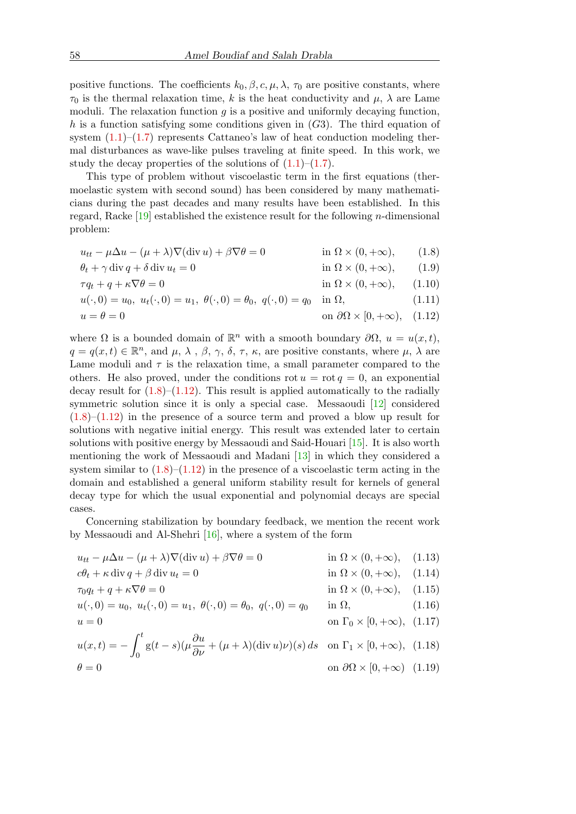positive functions. The coefficients  $k_0, \beta, c, \mu, \lambda, \tau_0$  are positive constants, where  $\tau_0$  is the thermal relaxation time, k is the heat conductivity and  $\mu$ ,  $\lambda$  are Lame moduli. The relaxation function  $q$  is a positive and uniformly decaying function, h is a function satisfying some conditions given in  $(G3)$ . The third equation of system  $(1.1)$ – $(1.7)$  represents Cattaneo's law of heat conduction modeling thermal disturbances as wave-like pulses traveling at finite speed. In this work, we study the decay properties of the solutions of  $(1.1)$ – $(1.7)$ .

This type of problem without viscoelastic term in the first equations (thermoelastic system with second sound) has been considered by many mathematicians during the past decades and many results have been established. In this regard, Racke [\[19\]](#page-17-1) established the existence result for the following n-dimensional problem:

<span id="page-1-0"></span> $u_{tt} - \mu \Delta u - (\mu + \lambda) \nabla (\text{div } u) + \beta \nabla \theta = 0$  in  $\Omega \times (0, +\infty)$ , (1.8)

$$
\theta_t + \gamma \operatorname{div} q + \delta \operatorname{div} u_t = 0 \qquad \text{in } \Omega \times (0, +\infty), \qquad (1.9)
$$

$$
\tau q_t + q + \kappa \nabla \theta = 0 \qquad \text{in } \Omega \times (0, +\infty), \qquad (1.10)
$$

$$
u(\cdot,0) = u_0, \ u_t(\cdot,0) = u_1, \ \theta(\cdot,0) = \theta_0, \ q(\cdot,0) = q_0 \quad \text{in } \Omega,
$$
\n(1.11)

<span id="page-1-1"></span>
$$
u = \theta = 0 \qquad \text{on } \partial\Omega \times [0, +\infty), \quad (1.12)
$$

where  $\Omega$  is a bounded domain of  $\mathbb{R}^n$  with a smooth boundary  $\partial\Omega$ ,  $u = u(x,t)$ ,  $q = q(x, t) \in \mathbb{R}^n$ , and  $\mu, \lambda, \beta, \gamma, \delta, \tau, \kappa$ , are positive constants, where  $\mu, \lambda$  are Lame moduli and  $\tau$  is the relaxation time, a small parameter compared to the others. He also proved, under the conditions rot  $u = \text{rot } q = 0$ , an exponential decay result for  $(1.8)$ – $(1.12)$ . This result is applied automatically to the radially symmetric solution since it is only a special case. Messaoudi [\[12\]](#page-16-0) considered  $(1.8)$ – $(1.12)$  in the presence of a source term and proved a blow up result for solutions with negative initial energy. This result was extended later to certain solutions with positive energy by Messaoudi and Said-Houari [\[15\]](#page-17-2). It is also worth mentioning the work of Messaoudi and Madani [\[13\]](#page-17-3) in which they considered a system similar to  $(1.8)$ – $(1.12)$  in the presence of a viscoelastic term acting in the domain and established a general uniform stability result for kernels of general decay type for which the usual exponential and polynomial decays are special cases.

Concerning stabilization by boundary feedback, we mention the recent work by Messaoudi and Al-Shehri [\[16\]](#page-17-4), where a system of the form

 $u_{tt} - \mu \Delta u - (\mu + \lambda) \nabla (\text{div } u) + \beta \nabla \theta = 0$  in  $\Omega \times (0, +\infty)$ , (1.13)  $c\theta_t + \kappa \operatorname{div} q + \beta \operatorname{div} u_t = 0$  in  $\Omega \times (0, +\infty)$ , (1.14)  $\tau_0 q_t + q + \kappa \nabla \theta = 0$  in  $\Omega \times (0, +\infty)$ , (1.15)

$$
u(\cdot,0) = u_0, \ u_t(\cdot,0) = u_1, \ \theta(\cdot,0) = \theta_0, \ q(\cdot,0) = q_0 \quad \text{in } \Omega, \tag{1.16}
$$

$$
u = 0 \quad \text{on } \Gamma_0 \times [0, +\infty), \ (1.17)
$$

$$
u(x,t) = -\int_0^t g(t-s)(\mu \frac{\partial u}{\partial \nu} + (\mu + \lambda)(\text{div } u)\nu)(s) ds \quad \text{on } \Gamma_1 \times [0, +\infty), \tag{1.18}
$$

$$
\theta = 0 \qquad \text{on } \partial\Omega \times [0, +\infty) \tag{1.19}
$$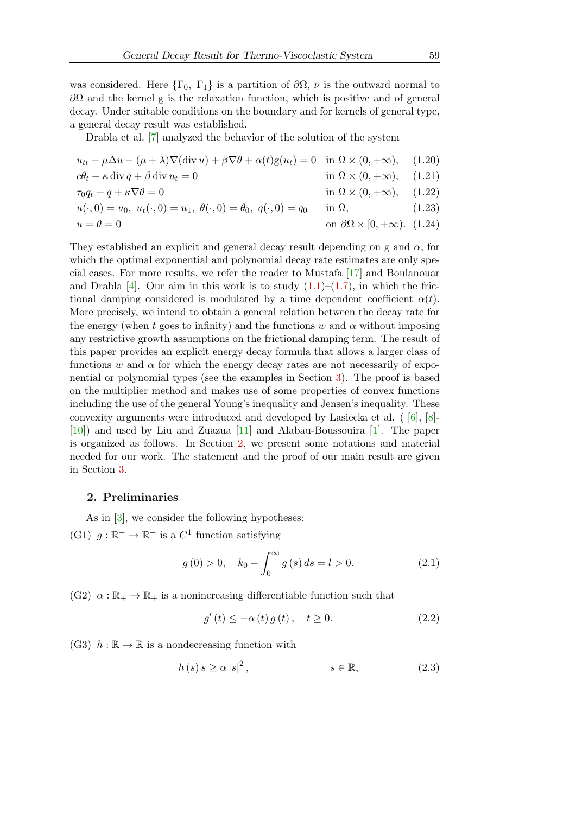was considered. Here  $\{\Gamma_0, \Gamma_1\}$  is a partition of  $\partial\Omega$ ,  $\nu$  is the outward normal to  $\partial\Omega$  and the kernel g is the relaxation function, which is positive and of general decay. Under suitable conditions on the boundary and for kernels of general type, a general decay result was established.

Drabla et al. [\[7\]](#page-16-1) analyzed the behavior of the solution of the system

$$
u_{tt} - \mu \Delta u - (\mu + \lambda) \nabla (\text{div } u) + \beta \nabla \theta + \alpha(t) \text{g}(u_t) = 0 \quad \text{in } \Omega \times (0, +\infty), \quad (1.20)
$$
  
\n
$$
c\theta_t + \kappa \text{ div } q + \beta \text{ div } u_t = 0 \qquad \text{in } \Omega \times (0, +\infty), \quad (1.21)
$$
  
\n
$$
\tau_0 q_t + q + \kappa \nabla \theta = 0 \qquad \text{in } \Omega \times (0, +\infty), \quad (1.22)
$$
  
\n
$$
u(\cdot, 0) = u_0, u_t(\cdot, 0) = u_1, \ \theta(\cdot, 0) = \theta_0, q(\cdot, 0) = q_0 \qquad \text{in } \Omega, \quad (1.23)
$$
  
\n
$$
u = \theta = 0 \qquad \text{on } \partial\Omega \times [0, +\infty). \quad (1.24)
$$

They established an explicit and general decay result depending on g and  $\alpha$ , for which the optimal exponential and polynomial decay rate estimates are only special cases. For more results, we refer the reader to Mustafa [\[17\]](#page-17-5) and Boulanouar and Drabla  $[4]$ . Our aim in this work is to study  $(1.1)$ – $(1.7)$ , in which the frictional damping considered is modulated by a time dependent coefficient  $\alpha(t)$ . More precisely, we intend to obtain a general relation between the decay rate for the energy (when t goes to infinity) and the functions w and  $\alpha$  without imposing any restrictive growth assumptions on the frictional damping term. The result of this paper provides an explicit energy decay formula that allows a larger class of functions w and  $\alpha$  for which the energy decay rates are not necessarily of exponential or polynomial types (see the examples in Section [3\)](#page-3-0). The proof is based on the multiplier method and makes use of some properties of convex functions including the use of the general Young's inequality and Jensen's inequality. These convexity arguments were introduced and developed by Lasiecka et al. ( [\[6\]](#page-16-3), [\[8\]](#page-16-4)- [\[10\]](#page-16-5)) and used by Liu and Zuazua [\[11\]](#page-16-6) and Alabau-Boussouira [\[1\]](#page-16-7). The paper is organized as follows. In Section [2,](#page-2-0) we present some notations and material needed for our work. The statement and the proof of our main result are given in Section [3.](#page-3-0)

#### <span id="page-2-0"></span>2. Preliminaries

<span id="page-2-1"></span>As in [\[3\]](#page-16-8), we consider the following hypotheses: (G1)  $g : \mathbb{R}^+ \to \mathbb{R}^+$  is a  $C^1$  function satisfying

$$
g(0) > 0, \quad k_0 - \int_0^\infty g(s) ds = l > 0.
$$
 (2.1)

<span id="page-2-3"></span>(G2)  $\alpha : \mathbb{R}_+ \to \mathbb{R}_+$  is a nonincreasing differentiable function such that

<span id="page-2-4"></span>
$$
g'(t) \le -\alpha(t) g(t), \quad t \ge 0. \tag{2.2}
$$

<span id="page-2-2"></span>(G3)  $h : \mathbb{R} \to \mathbb{R}$  is a nondecreasing function with

$$
h(s) s \ge \alpha |s|^2, \qquad s \in \mathbb{R}, \tag{2.3}
$$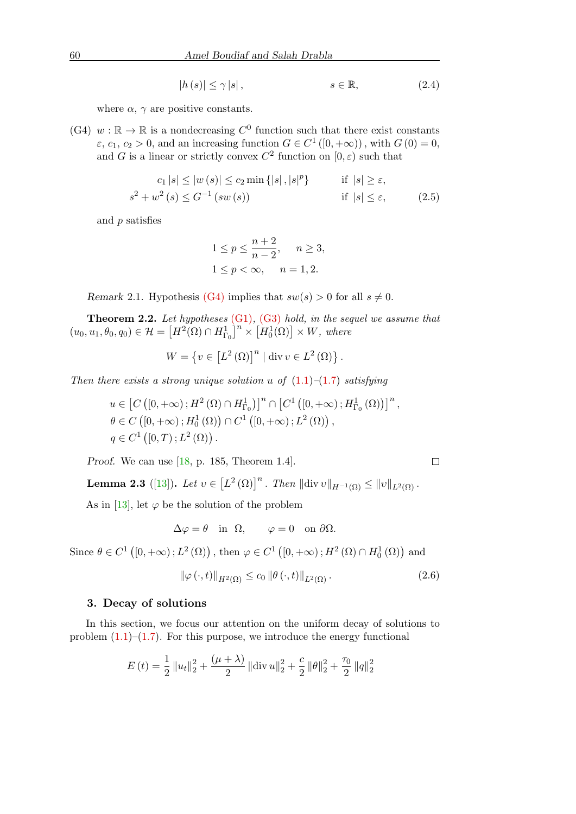$$
|h(s)| \le \gamma |s|, \qquad s \in \mathbb{R}, \tag{2.4}
$$

where  $\alpha$ ,  $\gamma$  are positive constants.

<span id="page-3-1"></span>(G4)  $w : \mathbb{R} \to \mathbb{R}$  is a nondecreasing  $C^0$  function such that there exist constants  $\varepsilon$ ,  $c_1$ ,  $c_2 > 0$ , and an increasing function  $G \in C^1([0, +\infty))$ , with  $G(0) = 0$ , and G is a linear or strictly convex  $C^2$  function on  $[0, \varepsilon)$  such that

$$
c_1 |s| \le |w(s)| \le c_2 \min\{|s|, |s|^p\} \qquad \text{if } |s| \ge \varepsilon,
$$
  

$$
s^2 + w^2(s) \le G^{-1}(sw(s)) \qquad \text{if } |s| \le \varepsilon,
$$
 (2.5)

and p satisfies

<span id="page-3-4"></span>
$$
1 \le p \le \frac{n+2}{n-2}, \quad n \ge 3,
$$
  

$$
1 \le p < \infty, \quad n = 1, 2.
$$

Remark 2.1. Hypothesis [\(G4\)](#page-3-1) implies that  $sw(s) > 0$  for all  $s \neq 0$ .

**Theorem 2.2.** Let hypotheses  $(G1)$ ,  $(G3)$  hold, in the sequel we assume that  $(u_0, u_1, \theta_0, q_0) \in \mathcal{H} = \left[H^2(\Omega) \cap H^1_{\Gamma_0}\right]^n \times \left[H^1_0(\Omega)\right] \times W$ , where

$$
W = \left\{ v \in \left[L^2(\Omega)\right]^n \mid \mathrm{div}\, v \in L^2(\Omega) \right\}.
$$

Then there exists a strong unique solution u of  $(1.1)$ – $(1.7)$  satisfying

$$
u \in \left[C\left([0,+\infty); H^2(\Omega) \cap H^1_{\Gamma_0}\right)\right]^n \cap \left[C^1\left([0,+\infty); H^1_{\Gamma_0}(\Omega)\right)\right]^n,
$$
  

$$
\theta \in C\left([0,+\infty); H^1_0(\Omega)\right) \cap C^1\left([0,+\infty); L^2(\Omega)\right),
$$
  

$$
q \in C^1\left([0,T); L^2(\Omega)\right).
$$

Proof. We can use [\[18,](#page-17-6) p. 185, Theorem 1.4].

<span id="page-3-3"></span>**Lemma 2.3** ([\[13\]](#page-17-3)). Let  $v \in [L^2(\Omega)]^n$ . Then  $\|\text{div } v\|_{H^{-1}(\Omega)} \leq \|v\|_{L^2(\Omega)}$ .

As in [\[13\]](#page-17-3), let  $\varphi$  be the solution of the problem

$$
\Delta \varphi = \theta \quad \text{in} \quad \Omega, \qquad \varphi = 0 \quad \text{on} \ \partial \Omega.
$$

Since  $\theta \in C^{1}([0, +\infty); L^{2}(\Omega))$ , then  $\varphi \in C^{1}([0, +\infty); H^{2}(\Omega) \cap H_{0}^{1}(\Omega))$  and

<span id="page-3-2"></span>
$$
\|\varphi(\cdot,t)\|_{H^{2}(\Omega)} \le c_0 \|\theta(\cdot,t)\|_{L^{2}(\Omega)}.
$$
\n(2.6)

#### <span id="page-3-0"></span>3. Decay of solutions

In this section, we focus our attention on the uniform decay of solutions to problem  $(1.1)$ – $(1.7)$ . For this purpose, we introduce the energy functional

$$
E(t) = \frac{1}{2} ||u_t||_2^2 + \frac{(\mu + \lambda)}{2} ||\text{div } u||_2^2 + \frac{c}{2} ||\theta||_2^2 + \frac{\tau_0}{2} ||q||_2^2
$$

 $\Box$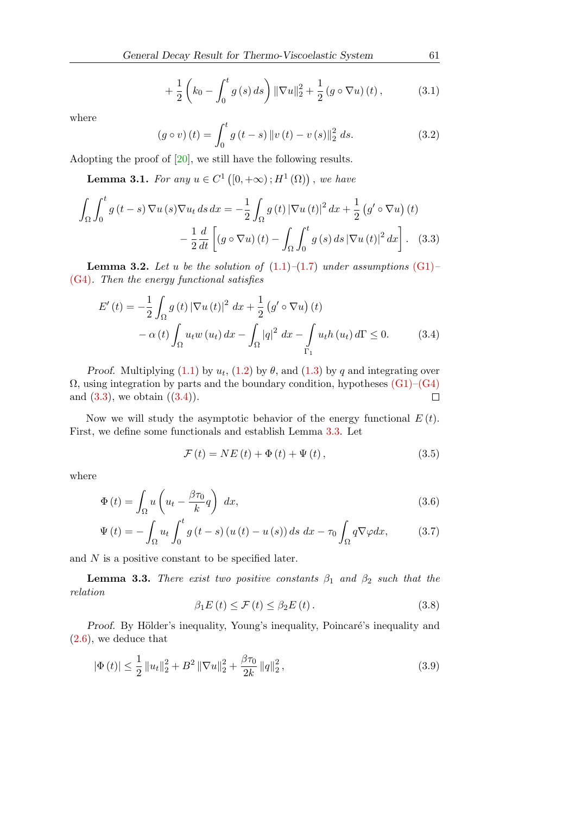$$
+\frac{1}{2}\left(k_0 - \int_0^t g(s) \, ds\right) \|\nabla u\|_2^2 + \frac{1}{2} \left(g \circ \nabla u\right)(t) \,,\tag{3.1}
$$

where

<span id="page-4-0"></span>
$$
(g \circ v)(t) = \int_0^t g(t - s) \|v(t) - v(s)\|_2^2 ds.
$$
 (3.2)

Adopting the proof of [\[20\]](#page-17-7), we still have the following results.

**Lemma 3.1.** For any  $u \in C^1([0, +\infty); H^1(\Omega))$ , we have

$$
\int_{\Omega} \int_0^t g(t-s) \nabla u(s) \nabla u_t ds dx = -\frac{1}{2} \int_{\Omega} g(t) |\nabla u(t)|^2 dx + \frac{1}{2} (g' \circ \nabla u) (t)
$$

$$
- \frac{1}{2} \frac{d}{dt} \left[ (g \circ \nabla u) (t) - \int_{\Omega} \int_0^t g(s) ds |\nabla u(t)|^2 dx \right]. \quad (3.3)
$$

**Lemma 3.2.** Let u be the solution of  $(1.1)$ – $(1.7)$  under assumptions  $(G1)$ – [\(G4\)](#page-3-1). Then the energy functional satisfies

$$
E'(t) = -\frac{1}{2} \int_{\Omega} g(t) |\nabla u(t)|^2 dx + \frac{1}{2} (g' \circ \nabla u)(t)
$$
  

$$
- \alpha(t) \int_{\Omega} u_t w(u_t) dx - \int_{\Omega} |q|^2 dx - \int_{\Gamma_1} u_t h(u_t) d\Gamma \le 0.
$$
 (3.4)

*Proof.* Multiplying [\(1.1\)](#page-0-2) by  $u_t$ , [\(1.2\)](#page-0-4) by  $\theta$ , and [\(1.3\)](#page-0-5) by q and integrating over  $\Omega$ , using integration by parts and the boundary condition, hypotheses  $(G1)$ – $(G4)$ and  $(3.3)$ , we obtain  $((3.4))$  $((3.4))$  $((3.4))$ .  $\Box$ 

Now we will study the asymptotic behavior of the energy functional  $E(t)$ . First, we define some functionals and establish Lemma [3.3.](#page-4-2) Let

<span id="page-4-3"></span><span id="page-4-1"></span>
$$
\mathcal{F}\left(t\right) = NE\left(t\right) + \Phi\left(t\right) + \Psi\left(t\right),\tag{3.5}
$$

where

$$
\Phi(t) = \int_{\Omega} u \left( u_t - \frac{\beta \tau_0}{k} q \right) dx, \tag{3.6}
$$

$$
\Psi(t) = -\int_{\Omega} u_t \int_0^t g\left(t - s\right) \left(u\left(t\right) - u\left(s\right)\right) ds \, dx - \tau_0 \int_{\Omega} q \nabla \varphi dx, \tag{3.7}
$$

and  $N$  is a positive constant to be specified later.

<span id="page-4-2"></span>**Lemma 3.3.** There exist two positive constants  $\beta_1$  and  $\beta_2$  such that the relation

<span id="page-4-4"></span>
$$
\beta_1 E(t) \le \mathcal{F}(t) \le \beta_2 E(t). \tag{3.8}
$$

Proof. By Hölder's inequality, Young's inequality, Poincaré's inequality and [\(2](#page-3-2).6), we deduce that

$$
|\Phi(t)| \le \frac{1}{2} \|u_t\|_2^2 + B^2 \|\nabla u\|_2^2 + \frac{\beta \tau_0}{2k} \|q\|_2^2,
$$
\n(3.9)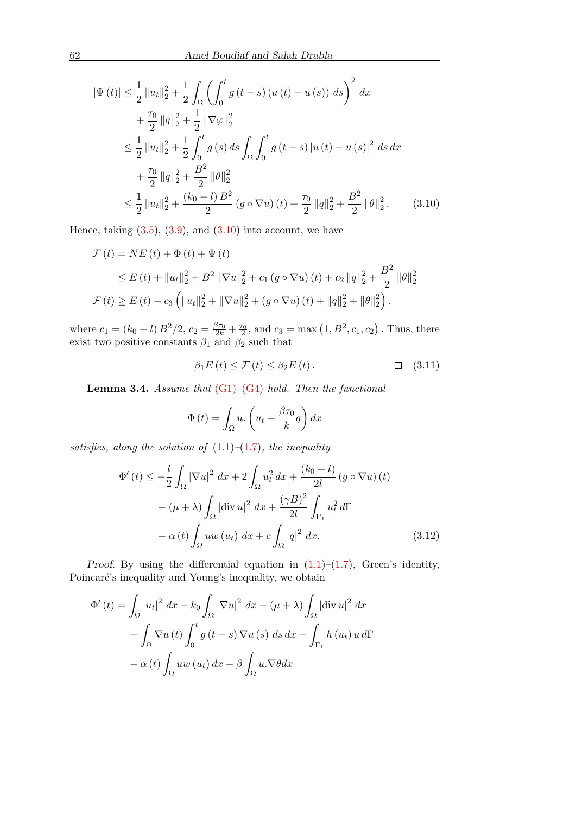$$
|\Psi(t)| \leq \frac{1}{2} ||u_t||_2^2 + \frac{1}{2} \int_{\Omega} \left( \int_0^t g(t-s) (u(t) - u(s)) ds \right)^2 dx
$$
  
+ 
$$
\frac{\tau_0}{2} ||q||_2^2 + \frac{1}{2} ||\nabla \varphi||_2^2
$$
  

$$
\leq \frac{1}{2} ||u_t||_2^2 + \frac{1}{2} \int_0^t g(s) ds \int_{\Omega} \int_0^t g(t-s) |u(t) - u(s)|^2 ds dx
$$
  
+ 
$$
\frac{\tau_0}{2} ||q||_2^2 + \frac{B^2}{2} ||\theta||_2^2
$$
  

$$
\leq \frac{1}{2} ||u_t||_2^2 + \frac{(k_0 - l) B^2}{2} (g \circ \nabla u)(t) + \frac{\tau_0}{2} ||q||_2^2 + \frac{B^2}{2} ||\theta||_2^2.
$$
 (3.10)

Hence, taking  $(3.5)$ ,  $(3.9)$ , and  $(3.10)$  $(3.10)$  into account, we have

$$
\mathcal{F}(t) = NE(t) + \Phi(t) + \Psi(t)
$$
  
\n
$$
\leq E(t) + ||u_t||_2^2 + B^2 ||\nabla u||_2^2 + c_1 (g \circ \nabla u) (t) + c_2 ||q||_2^2 + \frac{B^2}{2} ||\theta||_2^2
$$
  
\n
$$
\mathcal{F}(t) \geq E(t) - c_3 \left( ||u_t||_2^2 + ||\nabla u||_2^2 + (g \circ \nabla u) (t) + ||q||_2^2 + ||\theta||_2^2 \right),
$$

where  $c_1 = (k_0 - l) B^2/2$ ,  $c_2 = \frac{\beta \tau_0}{2k} + \frac{\tau_0}{2}$ , and  $c_3 = \max(1, B^2, c_1, c_2)$ . Thus, there exist two positive constants  $\beta_1$  and  $\beta_2$  such that

<span id="page-5-0"></span>
$$
\beta_1 E(t) \le \mathcal{F}(t) \le \beta_2 E(t). \tag{3.11}
$$

**Lemma 3.4.** Assume that  $(G1)$ – $(G4)$  hold. Then the functional

<span id="page-5-1"></span>
$$
\Phi(t) = \int_{\Omega} u \cdot \left( u_t - \frac{\beta \tau_0}{k} q \right) dx
$$

satisfies, along the solution of  $(1.1)$ – $(1.7)$ , the inequality

$$
\Phi'(t) \le -\frac{l}{2} \int_{\Omega} |\nabla u|^2 dx + 2 \int_{\Omega} u_t^2 dx + \frac{(k_0 - l)}{2l} (g \circ \nabla u)(t)
$$

$$
- (\mu + \lambda) \int_{\Omega} |\text{div } u|^2 dx + \frac{(\gamma B)^2}{2l} \int_{\Gamma_1} u_t^2 d\Gamma
$$

$$
- \alpha(t) \int_{\Omega} uw (u_t) dx + c \int_{\Omega} |q|^2 dx. \tag{3.12}
$$

Proof. By using the differential equation in  $(1.1)$ – $(1.7)$ , Green's identity, Poincaré's inequality and Young's inequality, we obtain

$$
\Phi'(t) = \int_{\Omega} |u_t|^2 dx - k_0 \int_{\Omega} |\nabla u|^2 dx - (\mu + \lambda) \int_{\Omega} |\text{div } u|^2 dx
$$

$$
+ \int_{\Omega} \nabla u(t) \int_0^t g(t - s) \nabla u(s) ds dx - \int_{\Gamma_1} h(u_t) u d\Gamma
$$

$$
- \alpha(t) \int_{\Omega} u w(u_t) dx - \beta \int_{\Omega} u \cdot \nabla \theta dx
$$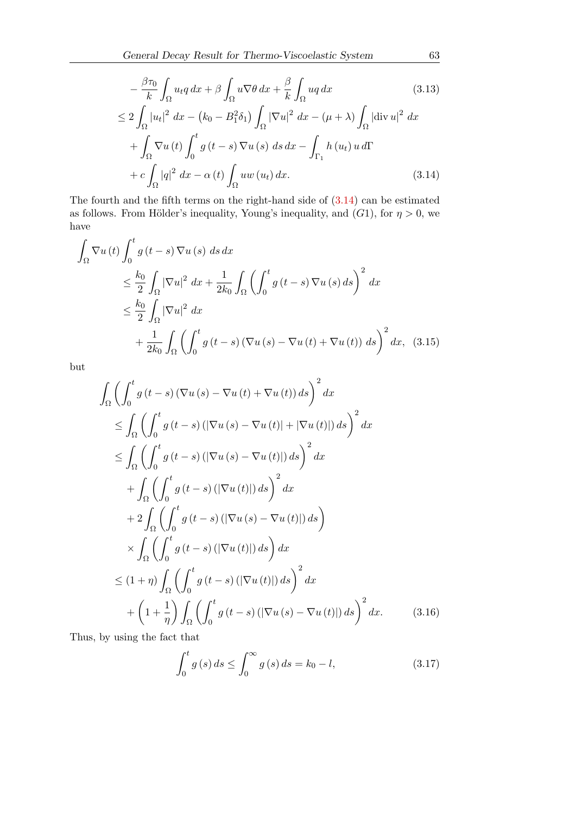$$
-\frac{\beta \tau_0}{k} \int_{\Omega} u_t q \, dx + \beta \int_{\Omega} u \nabla \theta \, dx + \frac{\beta}{k} \int_{\Omega} u q \, dx \tag{3.13}
$$

$$
\leq 2 \int_{\Omega} |u_t|^2 \, dx - (k_0 - B_1^2 \delta_1) \int_{\Omega} |\nabla u|^2 \, dx - (\mu + \lambda) \int_{\Omega} |\text{div } u|^2 \, dx
$$

<span id="page-6-1"></span><span id="page-6-0"></span>
$$
+\int_{\Omega} \nabla u(t) \int_{0}^{t} g(t-s) \nabla u(s) ds dx - \int_{\Gamma_{1}} h(u_{t}) u d\Gamma
$$
  
+ 
$$
c \int_{\Omega} |q|^{2} dx - \alpha(t) \int_{\Omega} u w(u_{t}) dx.
$$
 (3.14)

The fourth and the fifth terms on the right-hand side of  $(3.14)$  $(3.14)$  can be estimated as follows. From Hölder's inequality, Young's inequality, and  $(G1)$ , for  $\eta > 0$ , we have

$$
\int_{\Omega} \nabla u(t) \int_{0}^{t} g(t-s) \nabla u(s) ds dx
$$
\n
$$
\leq \frac{k_{0}}{2} \int_{\Omega} |\nabla u|^{2} dx + \frac{1}{2k_{0}} \int_{\Omega} \left( \int_{0}^{t} g(t-s) \nabla u(s) ds \right)^{2} dx
$$
\n
$$
\leq \frac{k_{0}}{2} \int_{\Omega} |\nabla u|^{2} dx
$$
\n
$$
+ \frac{1}{2k_{0}} \int_{\Omega} \left( \int_{0}^{t} g(t-s) (\nabla u(s) - \nabla u(t) + \nabla u(t)) ds \right)^{2} dx, (3.15)
$$

but

$$
\int_{\Omega} \left( \int_{0}^{t} g(t-s) \left( \nabla u(s) - \nabla u(t) + \nabla u(t) \right) ds \right)^{2} dx
$$
\n
$$
\leq \int_{\Omega} \left( \int_{0}^{t} g(t-s) \left( \left| \nabla u(s) - \nabla u(t) \right| + \left| \nabla u(t) \right| \right) ds \right)^{2} dx
$$
\n
$$
\leq \int_{\Omega} \left( \int_{0}^{t} g(t-s) \left( \left| \nabla u(s) - \nabla u(t) \right| \right) ds \right)^{2} dx
$$
\n
$$
+ \int_{\Omega} \left( \int_{0}^{t} g(t-s) \left( \left| \nabla u(t) \right| \right) ds \right)^{2} dx
$$
\n
$$
+ 2 \int_{\Omega} \left( \int_{0}^{t} g(t-s) \left( \left| \nabla u(s) - \nabla u(t) \right| \right) ds \right)
$$
\n
$$
\times \int_{\Omega} \left( \int_{0}^{t} g(t-s) \left( \left| \nabla u(t) \right| \right) ds \right) dx
$$
\n
$$
\leq (1 + \eta) \int_{\Omega} \left( \int_{0}^{t} g(t-s) \left( \left| \nabla u(t) \right| \right) ds \right)^{2} dx
$$
\n
$$
+ \left( 1 + \frac{1}{\eta} \right) \int_{\Omega} \left( \int_{0}^{t} g(t-s) \left( \left| \nabla u(s) - \nabla u(t) \right| \right) ds \right)^{2} dx.
$$
\n(3.16)

Thus, by using the fact that

$$
\int_{0}^{t} g(s) ds \le \int_{0}^{\infty} g(s) ds = k_{0} - l,
$$
\n(3.17)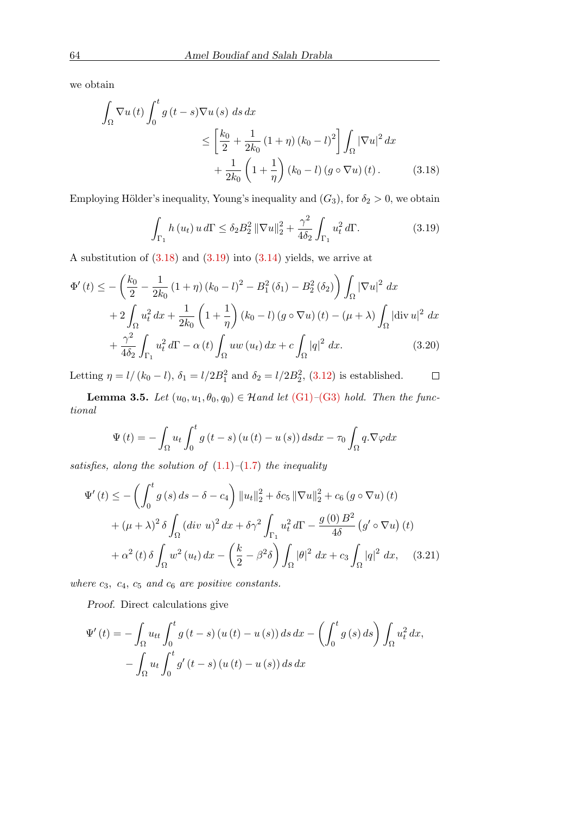we obtain

$$
\int_{\Omega} \nabla u(t) \int_0^t g(t-s) \nabla u(s) ds dx
$$
\n
$$
\leq \left[ \frac{k_0}{2} + \frac{1}{2k_0} (1+\eta) (k_0 - l)^2 \right] \int_{\Omega} |\nabla u|^2 dx
$$
\n
$$
+ \frac{1}{2k_0} \left( 1 + \frac{1}{\eta} \right) (k_0 - l) (g \circ \nabla u) (t).
$$
\n(3.18)

Employing Hölder's inequality, Young's inequality and  $(G_3)$ , for  $\delta_2 > 0$ , we obtain

<span id="page-7-1"></span><span id="page-7-0"></span>
$$
\int_{\Gamma_1} h(u_t) u d\Gamma \le \delta_2 B_2^2 \|\nabla u\|_2^2 + \frac{\gamma^2}{4\delta_2} \int_{\Gamma_1} u_t^2 d\Gamma. \tag{3.19}
$$

A substitution of (3.[18\)](#page-7-0) and (3.[19\)](#page-7-1) into (3.[14\)](#page-6-0) yields, we arrive at

$$
\Phi'(t) \le -\left(\frac{k_0}{2} - \frac{1}{2k_0} (1+\eta) (k_0 - l)^2 - B_1^2 (\delta_1) - B_2^2 (\delta_2)\right) \int_{\Omega} |\nabla u|^2 dx \n+ 2 \int_{\Omega} u_t^2 dx + \frac{1}{2k_0} \left(1 + \frac{1}{\eta}\right) (k_0 - l) (g \circ \nabla u) (t) - (\mu + \lambda) \int_{\Omega} |\text{div } u|^2 dx \n+ \frac{\gamma^2}{4\delta_2} \int_{\Gamma_1} u_t^2 d\Gamma - \alpha(t) \int_{\Omega} u w (u_t) dx + c \int_{\Omega} |q|^2 dx.
$$
\n(3.20)

Letting  $\eta = l/(k_0 - l)$ ,  $\delta_1 = l/2B_1^2$  and  $\delta_2 = l/2B_2^2$ , (3.[12\)](#page-5-1) is established.  $\Box$ 

**Lemma 3.5.** Let  $(u_0, u_1, \theta_0, q_0) \in \mathcal{H}$  and let  $(G1)$ – $(G3)$  hold. Then the functional

<span id="page-7-2"></span>
$$
\Psi(t) = -\int_{\Omega} u_t \int_0^t g(t-s) (u(t) - u(s)) ds dx - \tau_0 \int_{\Omega} q \cdot \nabla \varphi dx
$$

satisfies, along the solution of  $(1.1)$ – $(1.7)$  the inequality

$$
\Psi'(t) \leq -\left(\int_0^t g(s) \, ds - \delta - c_4\right) \|u_t\|_2^2 + \delta c_5 \|\nabla u\|_2^2 + c_6 \left(g \circ \nabla u\right)(t) \n+ (\mu + \lambda)^2 \delta \int_{\Omega} (div \ u)^2 \, dx + \delta \gamma^2 \int_{\Gamma_1} u_t^2 \, d\Gamma - \frac{g(0) \, B^2}{4 \delta} \left(g' \circ \nabla u\right)(t) \n+ \alpha^2 \left(t\right) \delta \int_{\Omega} w^2 \left(u_t\right) dx - \left(\frac{k}{2} - \beta^2 \delta\right) \int_{\Omega} |\theta|^2 \, dx + c_3 \int_{\Omega} |q|^2 \, dx, \quad (3.21)
$$

where  $c_3$ ,  $c_4$ ,  $c_5$  and  $c_6$  are positive constants.

Proof. Direct calculations give

$$
\Psi'(t) = -\int_{\Omega} u_{tt} \int_0^t g(t-s) (u(t) - u(s)) ds dx - \left( \int_0^t g(s) ds \right) \int_{\Omega} u_t^2 dx,
$$
  

$$
- \int_{\Omega} u_t \int_0^t g'(t-s) (u(t) - u(s)) ds dx
$$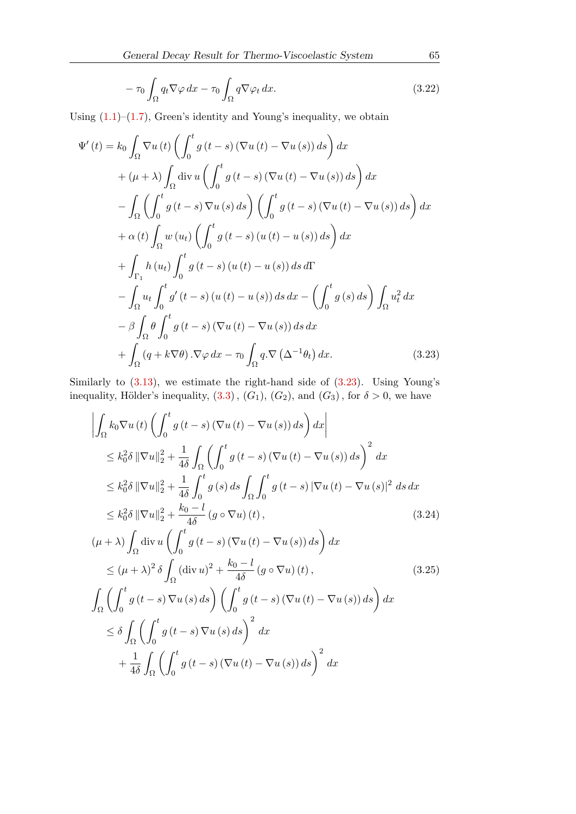$$
-\tau_0 \int_{\Omega} q_t \nabla \varphi \, dx - \tau_0 \int_{\Omega} q \nabla \varphi_t \, dx. \tag{3.22}
$$

Using  $(1.1)$ – $(1.7)$ , Green's identity and Young's inequality, we obtain

$$
\Psi'(t) = k_0 \int_{\Omega} \nabla u(t) \left( \int_0^t g(t-s) (\nabla u(t) - \nabla u(s)) ds \right) dx
$$
  
+  $(\mu + \lambda) \int_{\Omega} \text{div } u \left( \int_0^t g(t-s) (\nabla u(t) - \nabla u(s)) ds \right) dx$   
-  $\int_{\Omega} \left( \int_0^t g(t-s) \nabla u(s) ds \right) \left( \int_0^t g(t-s) (\nabla u(t) - \nabla u(s)) ds \right) dx$   
+  $\alpha(t) \int_{\Omega} w(u_t) \left( \int_0^t g(t-s) (u(t) - u(s)) ds \right) dx$   
+  $\int_{\Gamma_1} h(u_t) \int_0^t g(t-s) (u(t) - u(s)) ds d\Gamma$   
-  $\int_{\Omega} u_t \int_0^t g'(t-s) (u(t) - u(s)) ds dx - \left( \int_0^t g(s) ds \right) \int_{\Omega} u_t^2 dx$   
-  $\beta \int_{\Omega} \theta \int_0^t g(t-s) (\nabla u(t) - \nabla u(s)) ds dx$   
+  $\int_{\Omega} (q + k \nabla \theta) . \nabla \varphi dx - \tau_0 \int_{\Omega} q . \nabla (\Delta^{-1} \theta_t) dx.$  (3.23)

Similarly to (3.[13\)](#page-6-1), we estimate the right-hand side of (3.[23\)](#page-8-0). Using Young's inequality, Hölder's inequality,  $(3.3)$  $(3.3)$ ,  $(G_1)$ ,  $(G_2)$ , and  $(G_3)$ , for  $\delta > 0$ , we have

<span id="page-8-0"></span>
$$
\left| \int_{\Omega} k_0 \nabla u(t) \left( \int_0^t g(t-s) \left( \nabla u(t) - \nabla u(s) \right) ds \right) dx \right|
$$
  
\n
$$
\leq k_0^2 \delta \left\| \nabla u \right\|_2^2 + \frac{1}{4\delta} \int_{\Omega} \left( \int_0^t g(t-s) \left( \nabla u(t) - \nabla u(s) \right) ds \right)^2 dx
$$
  
\n
$$
\leq k_0^2 \delta \left\| \nabla u \right\|_2^2 + \frac{1}{4\delta} \int_0^t g(s) ds \int_{\Omega} \int_0^t g(t-s) \left| \nabla u(t) - \nabla u(s) \right|^2 ds dx
$$
  
\n
$$
\leq k_0^2 \delta \left\| \nabla u \right\|_2^2 + \frac{k_0 - l}{4\delta} (g \circ \nabla u)(t),
$$
  
\n
$$
(\mu + \lambda) \int_{\Omega} \operatorname{div} u \left( \int_0^t g(t-s) \left( \nabla u(t) - \nabla u(s) \right) ds \right) dx
$$
  
\n
$$
\leq (\mu + \lambda)^2 \delta \int_{\Omega} (\operatorname{div} u)^2 + \frac{k_0 - l}{4\delta} (g \circ \nabla u)(t),
$$
  
\n
$$
\int_{\Omega} \left( \int_0^t g(t-s) \nabla u(s) ds \right) \left( \int_0^t g(t-s) \left( \nabla u(t) - \nabla u(s) \right) ds \right) ds
$$
  
\n(3.25)

<span id="page-8-1"></span>
$$
\int_{\Omega} \left( \int_{0}^{t} g(t-s) \nabla u(s) ds \right) \left( \int_{0}^{t} g(t-s) \left( \nabla u(t) - \nabla u(s) \right) ds \right) dx
$$
  

$$
\leq \delta \int_{\Omega} \left( \int_{0}^{t} g(t-s) \nabla u(s) ds \right)^{2} dx
$$
  

$$
+ \frac{1}{4\delta} \int_{\Omega} \left( \int_{0}^{t} g(t-s) \left( \nabla u(t) - \nabla u(s) \right) ds \right)^{2} dx
$$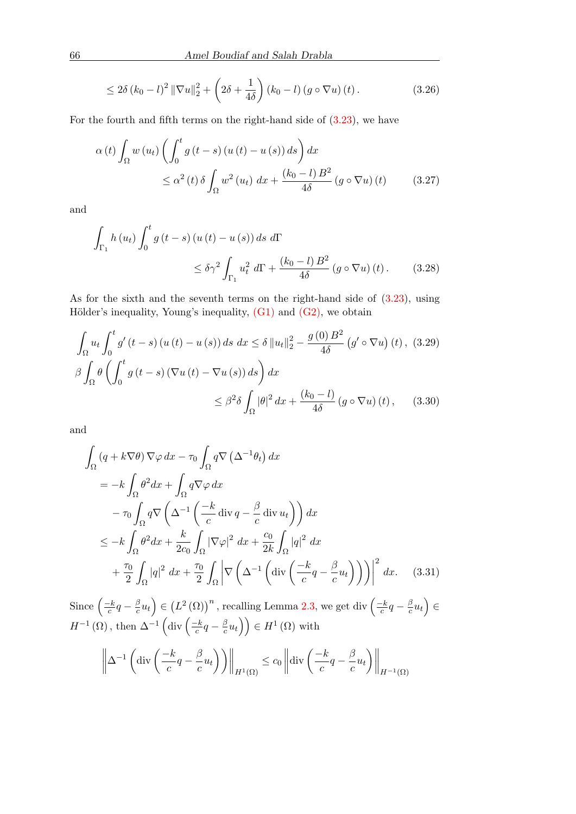$$
\leq 2\delta (k_0 - l)^2 \left\|\nabla u\right\|_2^2 + \left(2\delta + \frac{1}{4\delta}\right) (k_0 - l) \left(g \circ \nabla u\right)(t). \tag{3.26}
$$

For the fourth and fifth terms on the right-hand side of  $(3.23)$  $(3.23)$ , we have

$$
\alpha(t) \int_{\Omega} w(u_t) \left( \int_0^t g(t-s) (u(t) - u(s)) ds \right) dx
$$
  

$$
\leq \alpha^2(t) \delta \int_{\Omega} w^2 (u_t) dx + \frac{(k_0 - l) B^2}{4\delta} (g \circ \nabla u) (t) \qquad (3.27)
$$

and

$$
\int_{\Gamma_1} h(u_t) \int_0^t g(t-s) (u(t) - u(s)) ds d\Gamma
$$
\n
$$
\leq \delta \gamma^2 \int_{\Gamma_1} u_t^2 d\Gamma + \frac{(k_0 - l) B^2}{4\delta} (g \circ \nabla u) (t).
$$
\n(3.28)

As for the sixth and the seventh terms on the right-hand side of  $(3.23)$ , using Hölder's inequality, Young's inequality,  $(G1)$  and  $(G2)$ , we obtain

$$
\int_{\Omega} u_t \int_0^t g'(t-s) (u(t) - u(s)) ds dx \le \delta ||u_t||_2^2 - \frac{g(0)B^2}{4\delta} (g' \circ \nabla u) (t), (3.29)
$$
  

$$
\beta \int_{\Omega} \theta \left( \int_0^t g(t-s) (\nabla u(t) - \nabla u(s)) ds \right) dx
$$
  

$$
\le \beta^2 \delta \int_{\Omega} |\theta|^2 dx + \frac{(k_0 - l)}{4\delta} (g \circ \nabla u) (t), (3.30)
$$

and

$$
\int_{\Omega} (q + k \nabla \theta) \nabla \varphi \, dx - \tau_0 \int_{\Omega} q \nabla \left( \Delta^{-1} \theta_t \right) dx
$$
\n
$$
= -k \int_{\Omega} \theta^2 dx + \int_{\Omega} q \nabla \varphi \, dx
$$
\n
$$
- \tau_0 \int_{\Omega} q \nabla \left( \Delta^{-1} \left( \frac{-k}{c} \operatorname{div} q - \frac{\beta}{c} \operatorname{div} u_t \right) \right) dx
$$
\n
$$
\leq -k \int_{\Omega} \theta^2 dx + \frac{k}{2c_0} \int_{\Omega} |\nabla \varphi|^2 dx + \frac{c_0}{2k} \int_{\Omega} |q|^2 dx
$$
\n
$$
+ \frac{\tau_0}{2} \int_{\Omega} |q|^2 dx + \frac{\tau_0}{2} \int_{\Omega} \left| \nabla \left( \Delta^{-1} \left( \operatorname{div} \left( \frac{-k}{c} q - \frac{\beta}{c} u_t \right) \right) \right) \right|^2 dx. \quad (3.31)
$$

Since  $\left(\frac{-k}{c}\right)$  $\frac{-k}{c}q-\frac{\beta}{c}$  $\left(\frac{\beta}{c}u_t\right) \in \left(L^2\left(\Omega\right)\right)^n$  $\left(\frac{\beta}{c}u_t\right) \in \left(L^2\left(\Omega\right)\right)^n$  $\left(\frac{\beta}{c}u_t\right) \in \left(L^2\left(\Omega\right)\right)^n$  , recalling Lemma 2.3, we get div  $\left(\frac{-k}{c}\right)$  $\frac{-k}{c}q-\frac{\beta}{c}$  $\frac{\beta}{c}u_t\Big)\in$  $H^{-1}(\Omega)$ , then  $\Delta^{-1}$  (div  $\left(\frac{-k}{c}\right)$  $\frac{-k}{c}q-\frac{\beta}{c}$  $\left(\frac{\beta}{c}u_t\right)\right)\in H^1\left(\Omega\right)$  with

$$
\left\|\Delta^{-1}\left(\mathrm{div}\left(\frac{-k}{c}q-\frac{\beta}{c}u_t\right)\right)\right\|_{H^1(\Omega)} \le c_0 \left\|\mathrm{div}\left(\frac{-k}{c}q-\frac{\beta}{c}u_t\right)\right\|_{H^{-1}(\Omega)}
$$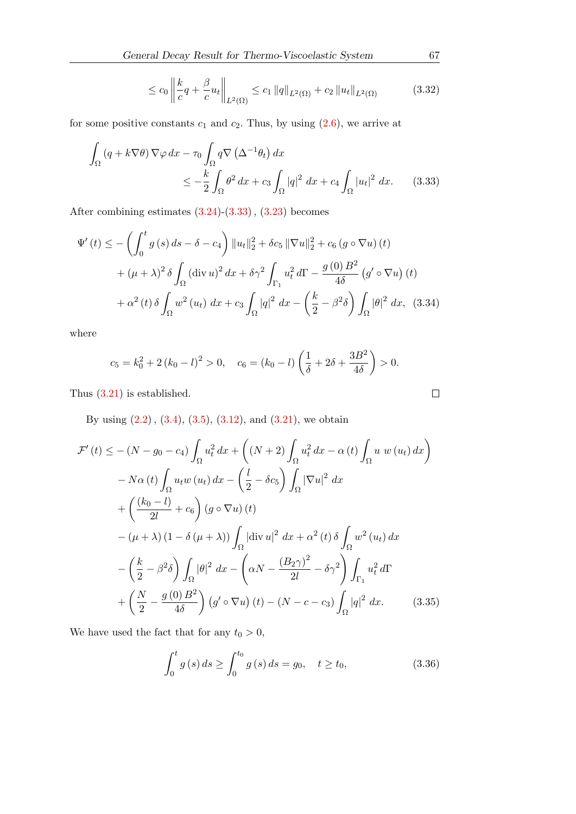$$
\leq c_0 \left\| \frac{k}{c} q + \frac{\beta}{c} u_t \right\|_{L^2(\Omega)} \leq c_1 \|q\|_{L^2(\Omega)} + c_2 \|u_t\|_{L^2(\Omega)} \tag{3.32}
$$

for some positive constants  $c_1$  and  $c_2$ . Thus, by using  $(2.6)$ , we arrive at

$$
\int_{\Omega} \left( q + k \nabla \theta \right) \nabla \varphi \, dx - \tau_0 \int_{\Omega} q \nabla \left( \Delta^{-1} \theta_t \right) dx
$$
\n
$$
\leq -\frac{k}{2} \int_{\Omega} \theta^2 \, dx + c_3 \int_{\Omega} |q|^2 \, dx + c_4 \int_{\Omega} |u_t|^2 \, dx. \tag{3.33}
$$

After combining estimates  $(3.24)-(3.33)$  $(3.24)-(3.33)$  $(3.24)-(3.33)$  $(3.24)-(3.33)$ ,  $(3.23)$  $(3.23)$  becomes

$$
\Psi'(t) \leq -\left(\int_0^t g(s) \, ds - \delta - c_4\right) \|u_t\|_2^2 + \delta c_5 \|\nabla u\|_2^2 + c_6 \left(g \circ \nabla u\right)(t) \n+ (\mu + \lambda)^2 \delta \int_{\Omega} (\text{div } u)^2 \, dx + \delta \gamma^2 \int_{\Gamma_1} u_t^2 \, d\Gamma - \frac{g(0) \, B^2}{4\delta} \left(g' \circ \nabla u\right)(t) \n+ \alpha^2 \left(t\right) \delta \int_{\Omega} w^2 \left(u_t\right) \, dx + c_3 \int_{\Omega} |q|^2 \, dx - \left(\frac{k}{2} - \beta^2 \delta\right) \int_{\Omega} |\theta|^2 \, dx, \tag{3.34}
$$

where

$$
c_5 = k_0^2 + 2(k_0 - l)^2 > 0
$$
,  $c_6 = (k_0 - l) \left(\frac{1}{\delta} + 2\delta + \frac{3B^2}{4\delta}\right) > 0$ .

Thus (3.[21\)](#page-7-2) is established.

By using  $(2.2)$  $(2.2)$ ,  $(3.4)$  $(3.4)$ ,  $(3.5)$  $(3.5)$ ,  $(3.12)$  $(3.12)$ , and  $(3.21)$  $(3.21)$ , we obtain

$$
\mathcal{F}'(t) \leq -(N - g_0 - c_4) \int_{\Omega} u_t^2 dx + \left( (N + 2) \int_{\Omega} u_t^2 dx - \alpha(t) \int_{\Omega} u w (u_t) dx \right)
$$
  
\n
$$
- N\alpha(t) \int_{\Omega} u_t w (u_t) dx - \left( \frac{l}{2} - \delta c_5 \right) \int_{\Omega} |\nabla u|^2 dx
$$
  
\n
$$
+ \left( \frac{(k_0 - l)}{2l} + c_6 \right) (g \circ \nabla u) (t)
$$
  
\n
$$
- (\mu + \lambda) (1 - \delta (\mu + \lambda)) \int_{\Omega} |\text{div } u|^2 dx + \alpha^2(t) \delta \int_{\Omega} w^2 (u_t) dx
$$
  
\n
$$
- \left( \frac{k}{2} - \beta^2 \delta \right) \int_{\Omega} |\theta|^2 dx - \left( \alpha N - \frac{(B_2 \gamma)^2}{2l} - \delta \gamma^2 \right) \int_{\Gamma_1} u_t^2 d\Gamma
$$
  
\n
$$
+ \left( \frac{N}{2} - \frac{g(0) B^2}{4\delta} \right) (g' \circ \nabla u) (t) - (N - c - c_3) \int_{\Omega} |q|^2 dx. \tag{3.35}
$$

We have used the fact that for any  $t_0 > 0$ ,

$$
\int_0^t g(s) \, ds \ge \int_0^{t_0} g(s) \, ds = g_0, \quad t \ge t_0,\tag{3.36}
$$

```
\Box
```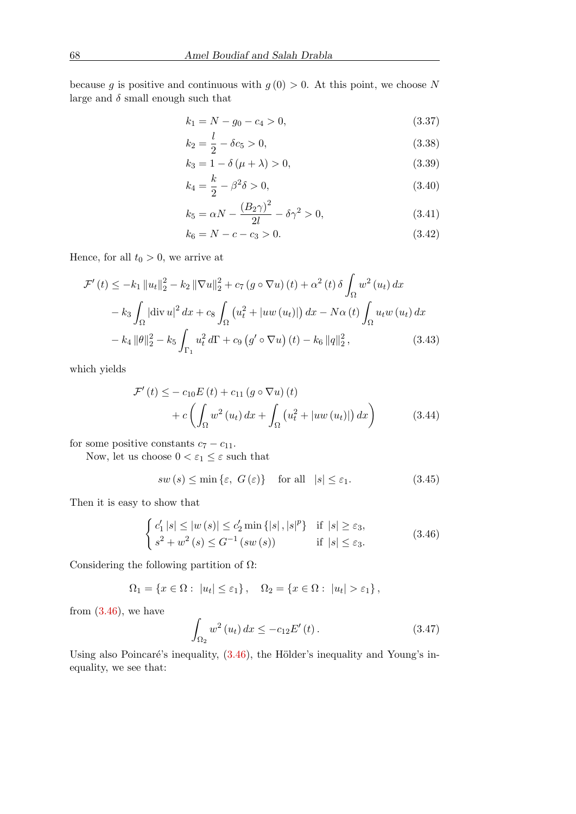because g is positive and continuous with  $g(0) > 0$ . At this point, we choose N large and  $\delta$  small enough such that

$$
k_1 = N - g_0 - c_4 > 0,\t\t(3.37)
$$

$$
k_2 = \frac{l}{2} - \delta c_5 > 0,\t\t(3.38)
$$

$$
k_3 = 1 - \delta(\mu + \lambda) > 0,
$$
\n(3.39)

$$
k_4 = \frac{k}{2} - \beta^2 \delta > 0,\t\t(3.40)
$$

$$
k_5 = \alpha N - \frac{(B_2 \gamma)^2}{2l} - \delta \gamma^2 > 0,
$$
\n(3.41)

$$
k_6 = N - c - c_3 > 0. \tag{3.42}
$$

Hence, for all  $t_0 > 0$ , we arrive at

$$
\mathcal{F}'(t) \leq -k_1 \|u_t\|_2^2 - k_2 \|\nabla u\|_2^2 + c_7 (g \circ \nabla u)(t) + \alpha^2 (t) \delta \int_{\Omega} w^2 (u_t) dx
$$
  

$$
-k_3 \int_{\Omega} |\text{div } u|^2 dx + c_8 \int_{\Omega} (u_t^2 + |uw (u_t)|) dx - N\alpha (t) \int_{\Omega} u_t w (u_t) dx
$$
  

$$
-k_4 \|\theta\|_2^2 - k_5 \int_{\Gamma_1} u_t^2 d\Gamma + c_9 (g' \circ \nabla u)(t) - k_6 \|q\|_2^2, \qquad (3.43)
$$

which yields

$$
\mathcal{F}'(t) \leq -c_{10}E(t) + c_{11}(g \circ \nabla u)(t) \n+ c\left(\int_{\Omega} w^2(u_t) dx + \int_{\Omega} (u_t^2 + |uw(u_t)|) dx\right)
$$
\n(3.44)

for some positive constants  $c_7 - c_{11}$ .

Now, let us choose  $0<\varepsilon_1\leq\varepsilon$  such that

<span id="page-11-2"></span> $sw(s) \le \min\{\varepsilon, G(\varepsilon)\}\$ for all  $|s| \le \varepsilon_1.$  (3.45)

Then it is easy to show that

<span id="page-11-0"></span>
$$
\begin{cases} c'_1 |s| \le |w(s)| \le c'_2 \min\{|s|, |s|^p\} & \text{if } |s| \ge \varepsilon_3, \\ s^2 + w^2(s) \le G^{-1}(sw(s)) & \text{if } |s| \le \varepsilon_3. \end{cases}
$$
(3.46)

Considering the following partition of  $\Omega$ :

$$
\Omega_1 = \{x \in \Omega : |u_t| \le \varepsilon_1\}, \quad \Omega_2 = \{x \in \Omega : |u_t| > \varepsilon_1\},\
$$

from  $(3.46)$  $(3.46)$ , we have

<span id="page-11-1"></span>
$$
\int_{\Omega_2} w^2(u_t) dx \le -c_{12} E'(t).
$$
 (3.47)

Using also Poincaré's inequality,  $(3.46)$  $(3.46)$ , the Hölder's inequality and Young's inequality, we see that: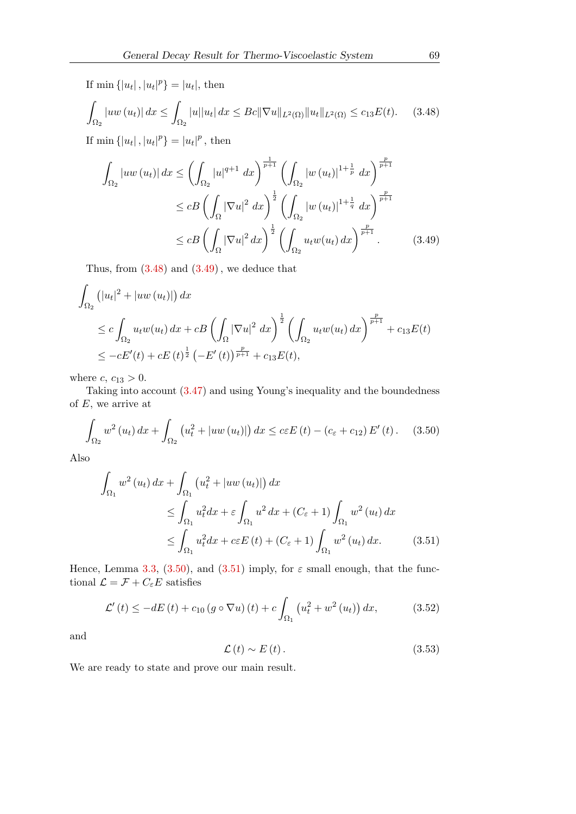If  $\min \{|u_t|, |u_t|^p\} = |u_t|$ , then

<span id="page-12-0"></span>
$$
\int_{\Omega_2} |uw(u_t)| \, dx \le \int_{\Omega_2} |u| |u_t| \, dx \le Bc \|\nabla u\|_{L^2(\Omega)} \|u_t\|_{L^2(\Omega)} \le c_{13} E(t). \tag{3.48}
$$

If  $\min \{|u_t|, |u_t|^p\} = |u_t|^p$ , then

<span id="page-12-1"></span>
$$
\int_{\Omega_2} |uw(u_t)| \, dx \le \left( \int_{\Omega_2} |u|^{q+1} \, dx \right)^{\frac{1}{p+1}} \left( \int_{\Omega_2} |w(u_t)|^{1+\frac{1}{p}} \, dx \right)^{\frac{p}{p+1}} \n\le cB \left( \int_{\Omega} |\nabla u|^2 \, dx \right)^{\frac{1}{2}} \left( \int_{\Omega_2} |w(u_t)|^{1+\frac{1}{q}} \, dx \right)^{\frac{p}{p+1}} \n\le cB \left( \int_{\Omega} |\nabla u|^2 \, dx \right)^{\frac{1}{2}} \left( \int_{\Omega_2} u_t w(u_t) \, dx \right)^{\frac{p}{p+1}}.
$$
\n(3.49)

Thus, from  $(3.48)$  $(3.48)$  and  $(3.49)$  $(3.49)$ , we deduce that

$$
\int_{\Omega_2} (|u_t|^2 + |uw(u_t)|) dx
$$
\n
$$
\leq c \int_{\Omega_2} u_t w(u_t) dx + cB \left( \int_{\Omega} |\nabla u|^2 dx \right)^{\frac{1}{2}} \left( \int_{\Omega_2} u_t w(u_t) dx \right)^{\frac{p}{p+1}} + c_{13} E(t)
$$
\n
$$
\leq -cE'(t) + cE(t)^{\frac{1}{2}} \left( -E'(t) \right)^{\frac{p}{p+1}} + c_{13} E(t),
$$

where  $c, c_{13} > 0$ .

Taking into account (3.[47\)](#page-11-1) and using Young's inequality and the boundedness of  $E$ , we arrive at

<span id="page-12-2"></span>
$$
\int_{\Omega_2} w^2(u_t) \, dx + \int_{\Omega_2} \left( u_t^2 + |uw(u_t)| \right) dx \leq c \varepsilon E(t) - (c_{\varepsilon} + c_{12}) E'(t). \tag{3.50}
$$

Also

$$
\int_{\Omega_1} w^2 (u_t) \, dx + \int_{\Omega_1} \left( u_t^2 + |uw (u_t)| \right) dx
$$
\n
$$
\leq \int_{\Omega_1} u_t^2 dx + \varepsilon \int_{\Omega_1} u^2 \, dx + (C_{\varepsilon} + 1) \int_{\Omega_1} w^2 (u_t) \, dx
$$
\n
$$
\leq \int_{\Omega_1} u_t^2 dx + c \varepsilon E(t) + (C_{\varepsilon} + 1) \int_{\Omega_1} w^2 (u_t) \, dx. \tag{3.51}
$$

Hence, Lemma [3.3,](#page-4-2) (3.[50\)](#page-12-2), and (3.[51\)](#page-12-3) imply, for  $\varepsilon$  small enough, that the functional  $\mathcal{L} = \mathcal{F} + C_{\varepsilon} E$  satisfies

<span id="page-12-4"></span>
$$
\mathcal{L}'(t) \le -dE(t) + c_{10} \left(g \circ \nabla u\right)(t) + c \int_{\Omega_1} \left(u_t^2 + w^2 \left(u_t\right)\right) dx, \tag{3.52}
$$

and

<span id="page-12-5"></span><span id="page-12-3"></span>
$$
\mathcal{L}(t) \sim E(t). \tag{3.53}
$$

We are ready to state and prove our main result.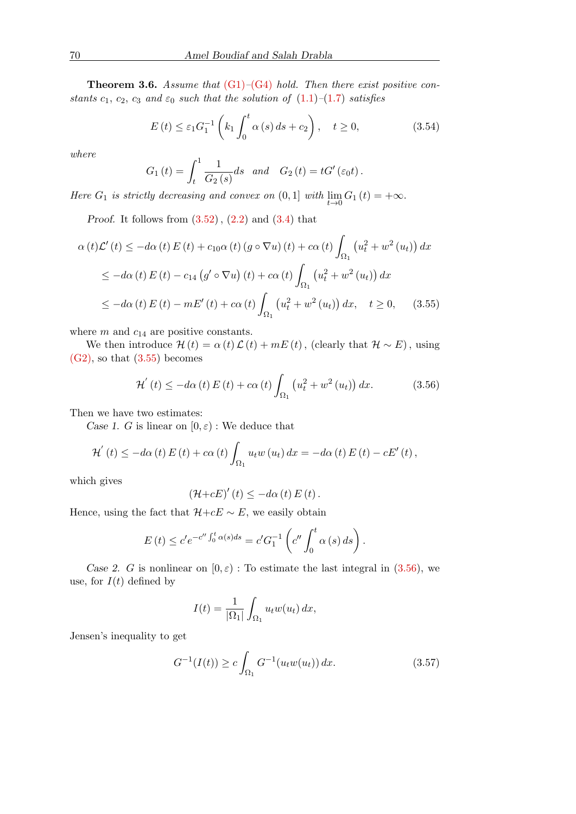<span id="page-13-4"></span>**Theorem 3.6.** Assume that  $(G1)$ – $(G4)$  hold. Then there exist positive constants  $c_1, c_2, c_3$  and  $\varepsilon_0$  such that the solution of  $(1.1)$ – $(1.7)$  satisfies

<span id="page-13-3"></span>
$$
E(t) \le \varepsilon_1 G_1^{-1} \left( k_1 \int_0^t \alpha(s) \, ds + c_2 \right), \quad t \ge 0,
$$
\n(3.54)

where

$$
G_1(t) = \int_t^1 \frac{1}{G_2(s)} ds \quad and \quad G_2(t) = tG'(\varepsilon_0 t).
$$

Here  $G_1$  is strictly decreasing and convex on  $(0,1]$  with  $\lim_{t\to 0} G_1(t) = +\infty$ .

Proof. It follows from  $(3.52)$  $(3.52)$ ,  $(2.2)$  $(2.2)$  and  $(3.4)$  $(3.4)$  that

$$
\alpha(t)\mathcal{L}'(t) \le -d\alpha(t) E(t) + c_{10}\alpha(t) (g \circ \nabla u)(t) + c\alpha(t) \int_{\Omega_1} \left( u_t^2 + w^2(u_t) \right) dx
$$
  
\n
$$
\le -d\alpha(t) E(t) - c_{14} (g' \circ \nabla u)(t) + c\alpha(t) \int_{\Omega_1} \left( u_t^2 + w^2(u_t) \right) dx
$$
  
\n
$$
\le -d\alpha(t) E(t) - mE'(t) + c\alpha(t) \int_{\Omega_1} \left( u_t^2 + w^2(u_t) \right) dx, \quad t \ge 0, \quad (3.55)
$$

where  $m$  and  $c_{14}$  are positive constants.

We then introduce  $\mathcal{H}(t) = \alpha(t)\mathcal{L}(t) + mE(t)$ , (clearly that  $\mathcal{H} \sim E$ ), using  $(G2)$ , so that  $(3.55)$  $(3.55)$  becomes

<span id="page-13-1"></span><span id="page-13-0"></span>
$$
\mathcal{H}'(t) \le -d\alpha(t) E(t) + c\alpha(t) \int_{\Omega_1} \left( u_t^2 + w^2(u_t) \right) dx.
$$
 (3.56)

Then we have two estimates:

Case 1. G is linear on  $[0, \varepsilon)$ : We deduce that

$$
\mathcal{H}'(t) \leq -d\alpha(t) E(t) + c\alpha(t) \int_{\Omega_1} u_t w(u_t) dx = -d\alpha(t) E(t) - cE'(t),
$$

which gives

$$
\left(\mathcal{H}+cE\right)'(t) \leq -d\alpha(t) E(t).
$$

Hence, using the fact that  $H+cE \sim E$ , we easily obtain

$$
E(t) \le c' e^{-c'' \int_0^t \alpha(s) ds} = c' G_1^{-1} \left( c'' \int_0^t \alpha(s) ds \right).
$$

Case 2. G is nonlinear on  $[0, \varepsilon)$ : To estimate the last integral in  $(3.56)$  $(3.56)$ , we use, for  $I(t)$  defined by

$$
I(t) = \frac{1}{|\Omega_1|} \int_{\Omega_1} u_t w(u_t) dx,
$$

Jensen's inequality to get

<span id="page-13-2"></span>
$$
G^{-1}(I(t)) \ge c \int_{\Omega_1} G^{-1}(u_t w(u_t)) dx.
$$
 (3.57)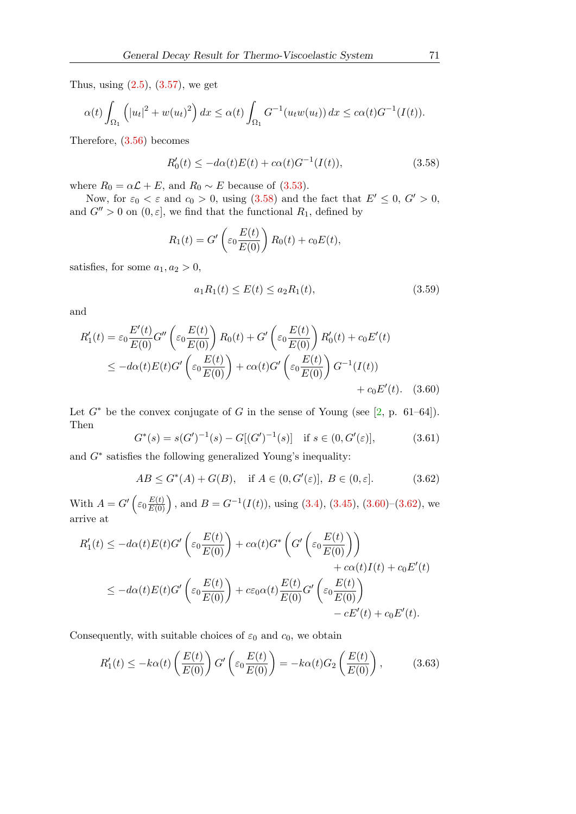Thus, using  $(2.5)$ ,  $(3.57)$  $(3.57)$ , we get

$$
\alpha(t)\int_{\Omega_1}\left(|u_t|^2+w(u_t)^2\right)dx\leq \alpha(t)\int_{\Omega_1}G^{-1}(u_t w(u_t))dx\leq c\alpha(t)G^{-1}(I(t)).
$$

Therefore, [\(3.56\)](#page-13-1) becomes

<span id="page-14-0"></span>
$$
R_0'(t) \le -d\alpha(t)E(t) + c\alpha(t)G^{-1}(I(t)),
$$
\n(3.58)

where  $R_0 = \alpha \mathcal{L} + E$ , and  $R_0 \sim E$  because of [\(3.53\)](#page-12-5).

Now, for  $\varepsilon_0 < \varepsilon$  and  $c_0 > 0$ , using [\(3.58\)](#page-14-0) and the fact that  $E' \leq 0$ ,  $G' > 0$ , and  $G'' > 0$  on  $(0, \varepsilon]$ , we find that the functional  $R_1$ , defined by

$$
R_1(t) = G'\left(\varepsilon_0 \frac{E(t)}{E(0)}\right) R_0(t) + c_0 E(t),
$$

satisfies, for some  $a_1, a_2 > 0$ ,

<span id="page-14-3"></span><span id="page-14-1"></span>
$$
a_1 R_1(t) \le E(t) \le a_2 R_1(t),\tag{3.59}
$$

and

$$
R'_1(t) = \varepsilon_0 \frac{E'(t)}{E(0)} G'' \left( \varepsilon_0 \frac{E(t)}{E(0)} \right) R_0(t) + G' \left( \varepsilon_0 \frac{E(t)}{E(0)} \right) R'_0(t) + c_0 E'(t)
$$
  
\n
$$
\leq -d\alpha(t) E(t) G' \left( \varepsilon_0 \frac{E(t)}{E(0)} \right) + c\alpha(t) G' \left( \varepsilon_0 \frac{E(t)}{E(0)} \right) G^{-1}(I(t))
$$
  
\n
$$
+ c_0 E'(t). \quad (3.60)
$$

Let  $G^*$  be the convex conjugate of G in the sense of Young (see [\[2,](#page-16-9) p. 61–64]). Then

$$
G^*(s) = s(G')^{-1}(s) - G[(G')^{-1}(s)] \quad \text{if } s \in (0, G'(\varepsilon)], \tag{3.61}
$$

and  $G^*$  satisfies the following generalized Young's inequality:

<span id="page-14-2"></span>
$$
AB \le G^*(A) + G(B), \quad \text{if } A \in (0, G'(\varepsilon)], B \in (0, \varepsilon]. \tag{3.62}
$$

With  $A = G' \left( \varepsilon_0 \frac{E(t)}{E(0)} \right)$ , and  $B = G^{-1}(I(t))$ , using [\(3.4\)](#page-4-1), [\(3.45\)](#page-11-2), [\(3.60\)](#page-14-1)–[\(3.62\)](#page-14-2), we arrive at

$$
R'_1(t) \le -d\alpha(t)E(t)G' \left(\varepsilon_0 \frac{E(t)}{E(0)}\right) + c\alpha(t)G^* \left(G' \left(\varepsilon_0 \frac{E(t)}{E(0)}\right)\right) + c\alpha(t)I(t) + c_0E'(t) \le -d\alpha(t)E(t)G' \left(\varepsilon_0 \frac{E(t)}{E(0)}\right) + c\varepsilon_0\alpha(t) \frac{E(t)}{E(0)}G' \left(\varepsilon_0 \frac{E(t)}{E(0)}\right) - cE'(t) + c_0E'(t).
$$

Consequently, with suitable choices of  $\varepsilon_0$  and  $c_0$ , we obtain

<span id="page-14-4"></span>
$$
R_1'(t) \le -k\alpha(t) \left(\frac{E(t)}{E(0)}\right) G' \left(\varepsilon_0 \frac{E(t)}{E(0)}\right) = -k\alpha(t) G_2 \left(\frac{E(t)}{E(0)}\right),\tag{3.63}
$$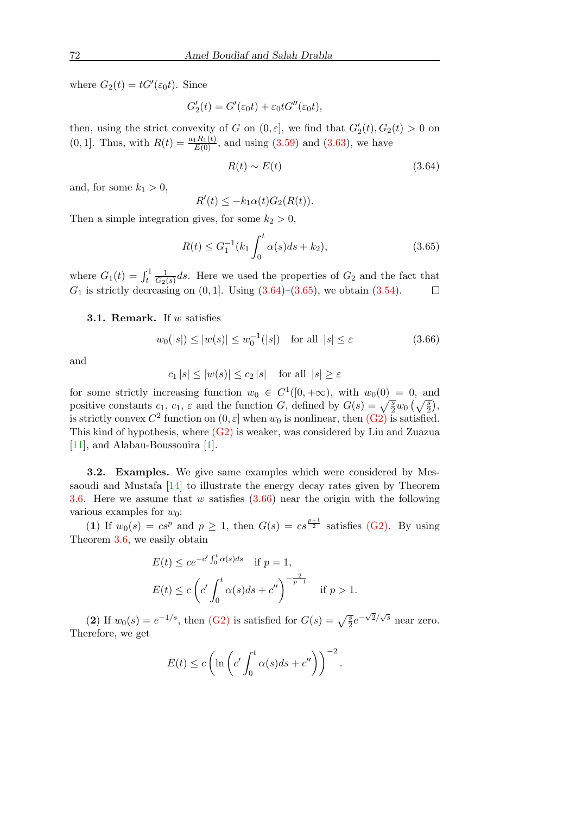where  $G_2(t) = tG'(\varepsilon_0 t)$ . Since

$$
G_2'(t) = G'(\varepsilon_0 t) + \varepsilon_0 t G''(\varepsilon_0 t),
$$

then, using the strict convexity of G on  $(0, \varepsilon]$ , we find that  $G'_2(t)$ ,  $G_2(t) > 0$  on  $(0, 1]$ . Thus, with  $R(t) = \frac{a_1 R_1(t)}{E(0)}$ , and using  $(3.59)$  and  $(3.63)$ , we have

<span id="page-15-0"></span>
$$
R(t) \sim E(t) \tag{3.64}
$$

and, for some  $k_1 > 0$ ,

$$
R'(t) \le -k_1 \alpha(t) G_2(R(t)).
$$

Then a simple integration gives, for some  $k_2 > 0$ ,

R

<span id="page-15-1"></span>
$$
R(t) \le G_1^{-1}(k_1 \int_0^t \alpha(s)ds + k_2), \tag{3.65}
$$

where  $G_1(t) = \int_t^1$ 1  $\frac{1}{G_2(s)}ds$ . Here we used the properties of  $G_2$  and the fact that  $G_1$  is strictly decreasing on  $(0, 1]$ . Using  $(3.64)$ – $(3.65)$ , we obtain  $(3.54)$ .  $\Box$ 

#### **3.1. Remark.** If  $w$  satisfies

<span id="page-15-2"></span>
$$
w_0(|s|) \le |w(s)| \le w_0^{-1}(|s|) \quad \text{for all } |s| \le \varepsilon \tag{3.66}
$$

and

$$
c_1 |s| \le |w(s)| \le c_2 |s| \quad \text{for all } |s| \ge \varepsilon
$$

for some strictly increasing function  $w_0 \in C^1([0, +\infty))$ , with  $w_0(0) = 0$ , and positive constants  $c_1, c_1, \varepsilon$  and the function G, defined by  $G(s) = \sqrt{\frac{s}{2}}w_0\left(\sqrt{\frac{s}{2}}\right)$ , is strictly convex  $C^2$  function on  $(0, \varepsilon]$  when  $w_0$  is nonlinear, then  $(G2)$  is satisfied. This kind of hypothesis, where  $(G2)$  is weaker, was considered by Liu and Zuazua [\[11\]](#page-16-6), and Alabau-Boussouira [\[1\]](#page-16-7).

3.2. Examples. We give same examples which were considered by Messaoudi and Mustafa [\[14\]](#page-17-8) to illustrate the energy decay rates given by Theorem [3.6.](#page-13-4) Here we assume that w satisfies  $(3.66)$  near the origin with the following various examples for  $w_0$ :

(1) If  $w_0(s) = cs^p$  and  $p \ge 1$ , then  $G(s) = cs^{\frac{p+1}{2}}$  satisfies [\(G2\).](#page-2-3) By using Theorem [3.6,](#page-13-4) we easily obtain

$$
E(t) \le ce^{-c'\int_0^t \alpha(s)ds} \quad \text{if } p = 1,
$$
  

$$
E(t) \le c\left(c'\int_0^t \alpha(s)ds + c''\right)^{-\frac{2}{p-1}} \quad \text{if } p > 1.
$$

(2) If  $w_0(s) = e^{-1/s}$ , then [\(G2\)](#page-2-3) is satisfied for  $G(s) = \sqrt{\frac{s}{2}}e^{-\sqrt{2}/\sqrt{s}}$  near zero. Therefore, we get

$$
E(t) \le c \left( \ln \left( c' \int_0^t \alpha(s) ds + c'' \right) \right)^{-2}.
$$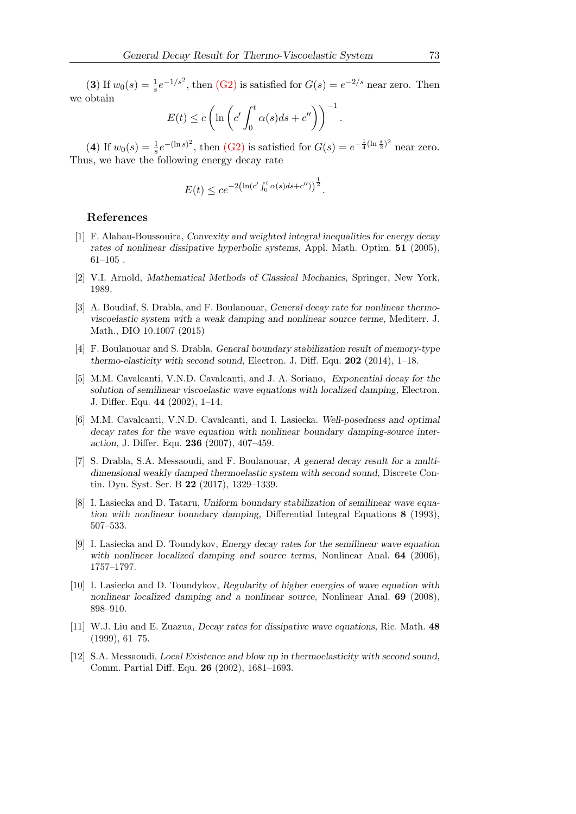(3) If  $w_0(s) = \frac{1}{s}e^{-1/s^2}$ , then [\(G2\)](#page-2-3) is satisfied for  $G(s) = e^{-2/s}$  near zero. Then we obtain

$$
E(t) \le c \left( \ln \left( c' \int_0^t \alpha(s) ds + c'' \right) \right)^{-1}.
$$

(4) If  $w_0(s) = \frac{1}{s}e^{-(\ln s)^2}$ , then [\(G2\)](#page-2-3) is satisfied for  $G(s) = e^{-\frac{1}{4}(\ln \frac{s}{2})^2}$  near zero. Thus, we have the following energy decay rate

$$
E(t) \le c e^{-2(\ln(c' \int_0^t \alpha(s) ds + c''))^{\frac{1}{2}}}.
$$

### References

- <span id="page-16-7"></span>[1] F. Alabau-Boussouira, Convexity and weighted integral inequalities for energy decay rates of nonlinear dissipative hyperbolic systems, Appl. Math. Optim. 51 (2005),  $61-105$ .
- <span id="page-16-9"></span>[2] V.I. Arnold, Mathematical Methods of Classical Mechanics, Springer, New York, 1989.
- <span id="page-16-8"></span>[3] A. Boudiaf, S. Drabla, and F. Boulanouar, General decay rate for nonlinear thermoviscoelastic system with a weak damping and nonlinear source terme, Mediterr. J. Math., DIO 10.1007 (2015)
- <span id="page-16-2"></span>[4] F. Boulanouar and S. Drabla, General boundary stabilization result of memory-type thermo-elasticity with second sound, Electron. J. Diff. Equ. 202 (2014), 1–18.
- [5] M.M. Cavalcanti, V.N.D. Cavalcanti, and J. A. Soriano, Exponential decay for the solution of semilinear viscoelastic wave equations with localized damping, Electron. J. Differ. Equ. 44 (2002), 1–14.
- <span id="page-16-3"></span>[6] M.M. Cavalcanti, V.N.D. Cavalcanti, and I. Lasiecka. Well-posedness and optimal decay rates for the wave equation with nonlinear boundary damping-source interaction, J. Differ. Equ. 236 (2007), 407–459.
- <span id="page-16-1"></span>[7] S. Drabla, S.A. Messaoudi, and F. Boulanouar, A general decay result for a multidimensional weakly damped thermoelastic system with second sound, Discrete Contin. Dyn. Syst. Ser. B 22 (2017), 1329–1339.
- <span id="page-16-4"></span>[8] I. Lasiecka and D. Tataru, Uniform boundary stabilization of semilinear wave equation with nonlinear boundary damping, Differential Integral Equations 8 (1993), 507–533.
- [9] I. Lasiecka and D. Toundykov, Energy decay rates for the semilinear wave equation with nonlinear localized damping and source terms, Nonlinear Anal. **64** (2006), 1757–1797.
- <span id="page-16-5"></span>[10] I. Lasiecka and D. Toundykov, Regularity of higher energies of wave equation with nonlinear localized damping and a nonlinear source, Nonlinear Anal. 69 (2008), 898–910.
- <span id="page-16-6"></span>[11] W.J. Liu and E. Zuazua, Decay rates for dissipative wave equations, Ric. Math. 48 (1999), 61–75.
- <span id="page-16-0"></span>[12] S.A. Messaoudi, Local Existence and blow up in thermoelasticity with second sound, Comm. Partial Diff. Equ. 26 (2002), 1681–1693.